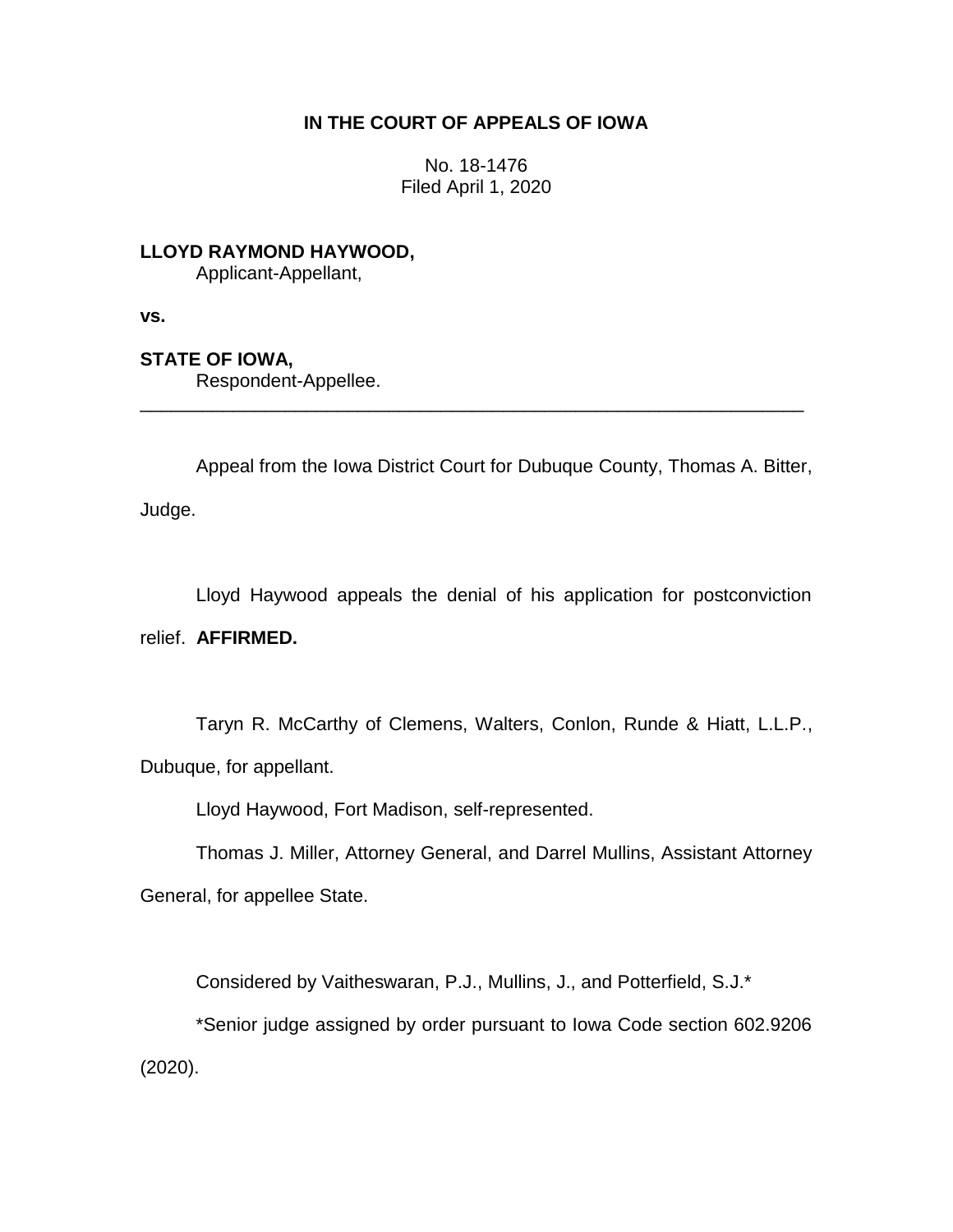# **IN THE COURT OF APPEALS OF IOWA**

No. 18-1476 Filed April 1, 2020

**LLOYD RAYMOND HAYWOOD,** Applicant-Appellant,

**vs.**

**STATE OF IOWA,**

Respondent-Appellee.

Appeal from the Iowa District Court for Dubuque County, Thomas A. Bitter, Judge.

\_\_\_\_\_\_\_\_\_\_\_\_\_\_\_\_\_\_\_\_\_\_\_\_\_\_\_\_\_\_\_\_\_\_\_\_\_\_\_\_\_\_\_\_\_\_\_\_\_\_\_\_\_\_\_\_\_\_\_\_\_\_\_\_

Lloyd Haywood appeals the denial of his application for postconviction relief. **AFFIRMED.**

Taryn R. McCarthy of Clemens, Walters, Conlon, Runde & Hiatt, L.L.P., Dubuque, for appellant.

Lloyd Haywood, Fort Madison, self-represented.

Thomas J. Miller, Attorney General, and Darrel Mullins, Assistant Attorney General, for appellee State.

Considered by Vaitheswaran, P.J., Mullins, J., and Potterfield, S.J.\*

\*Senior judge assigned by order pursuant to Iowa Code section 602.9206 (2020).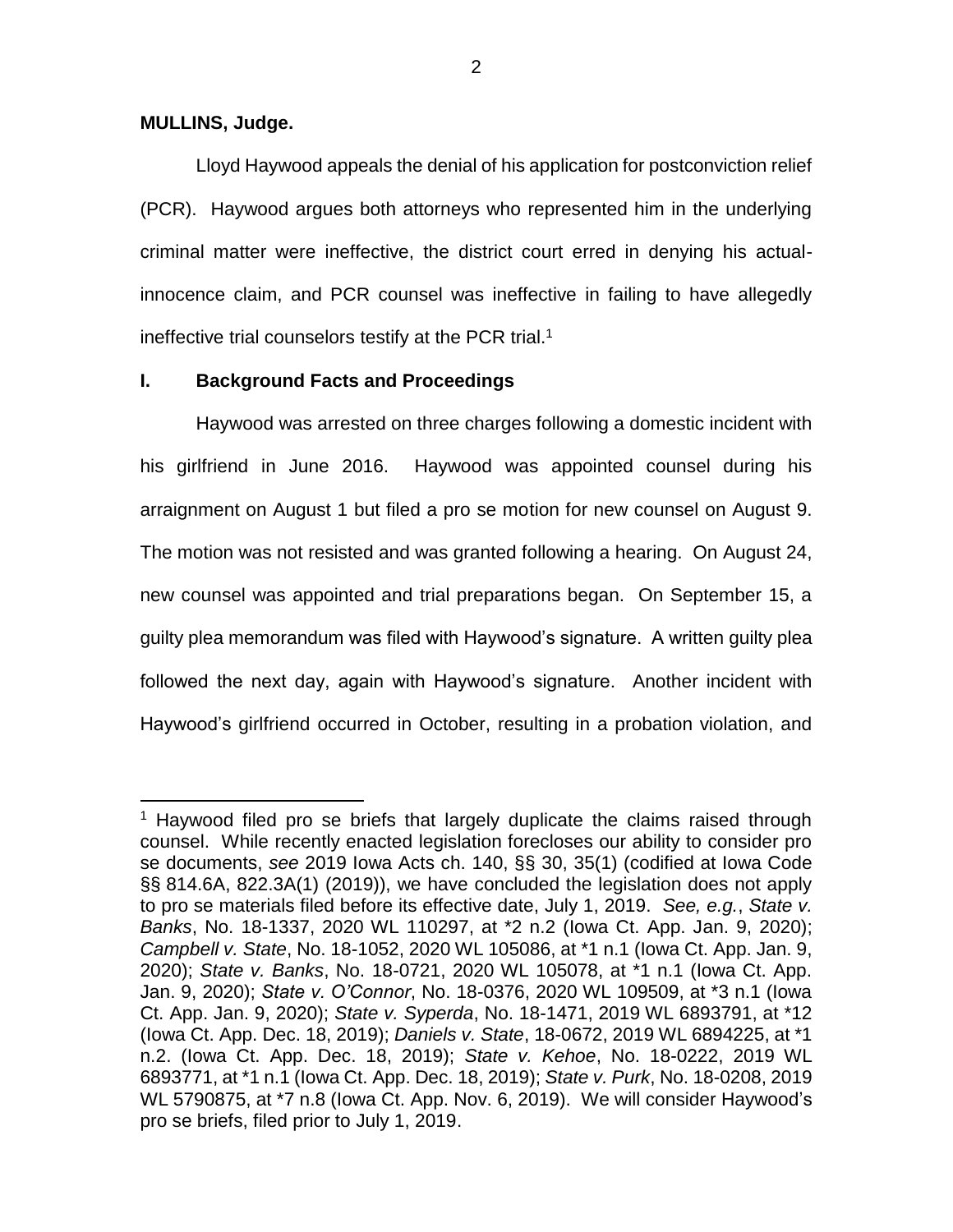#### **MULLINS, Judge.**

 $\overline{a}$ 

Lloyd Haywood appeals the denial of his application for postconviction relief (PCR). Haywood argues both attorneys who represented him in the underlying criminal matter were ineffective, the district court erred in denying his actualinnocence claim, and PCR counsel was ineffective in failing to have allegedly ineffective trial counselors testify at the PCR trial.<sup>1</sup>

# **I. Background Facts and Proceedings**

Haywood was arrested on three charges following a domestic incident with his girlfriend in June 2016. Haywood was appointed counsel during his arraignment on August 1 but filed a pro se motion for new counsel on August 9. The motion was not resisted and was granted following a hearing. On August 24, new counsel was appointed and trial preparations began. On September 15, a guilty plea memorandum was filed with Haywood's signature. A written guilty plea followed the next day, again with Haywood's signature. Another incident with Haywood's girlfriend occurred in October, resulting in a probation violation, and

<sup>&</sup>lt;sup>1</sup> Haywood filed pro se briefs that largely duplicate the claims raised through counsel. While recently enacted legislation forecloses our ability to consider pro se documents, *see* 2019 Iowa Acts ch. 140, §§ 30, 35(1) (codified at Iowa Code §§ 814.6A, 822.3A(1) (2019)), we have concluded the legislation does not apply to pro se materials filed before its effective date, July 1, 2019. *See, e.g.*, *State v. Banks*, No. 18-1337, 2020 WL 110297, at \*2 n.2 (Iowa Ct. App. Jan. 9, 2020); *Campbell v. State*, No. 18-1052, 2020 WL 105086, at \*1 n.1 (Iowa Ct. App. Jan. 9, 2020); *State v. Banks*, No. 18-0721, 2020 WL 105078, at \*1 n.1 (Iowa Ct. App. Jan. 9, 2020); *State v. O'Connor*, No. 18-0376, 2020 WL 109509, at \*3 n.1 (Iowa Ct. App. Jan. 9, 2020); *State v. Syperda*, No. 18-1471, 2019 WL 6893791, at \*12 (Iowa Ct. App. Dec. 18, 2019); *Daniels v. State*, 18-0672, 2019 WL 6894225, at \*1 n.2. (Iowa Ct. App. Dec. 18, 2019); *State v. Kehoe*, No. 18-0222, 2019 WL 6893771, at \*1 n.1 (Iowa Ct. App. Dec. 18, 2019); *State v. Purk*, No. 18-0208, 2019 WL 5790875, at \*7 n.8 (Iowa Ct. App. Nov. 6, 2019). We will consider Haywood's pro se briefs, filed prior to July 1, 2019.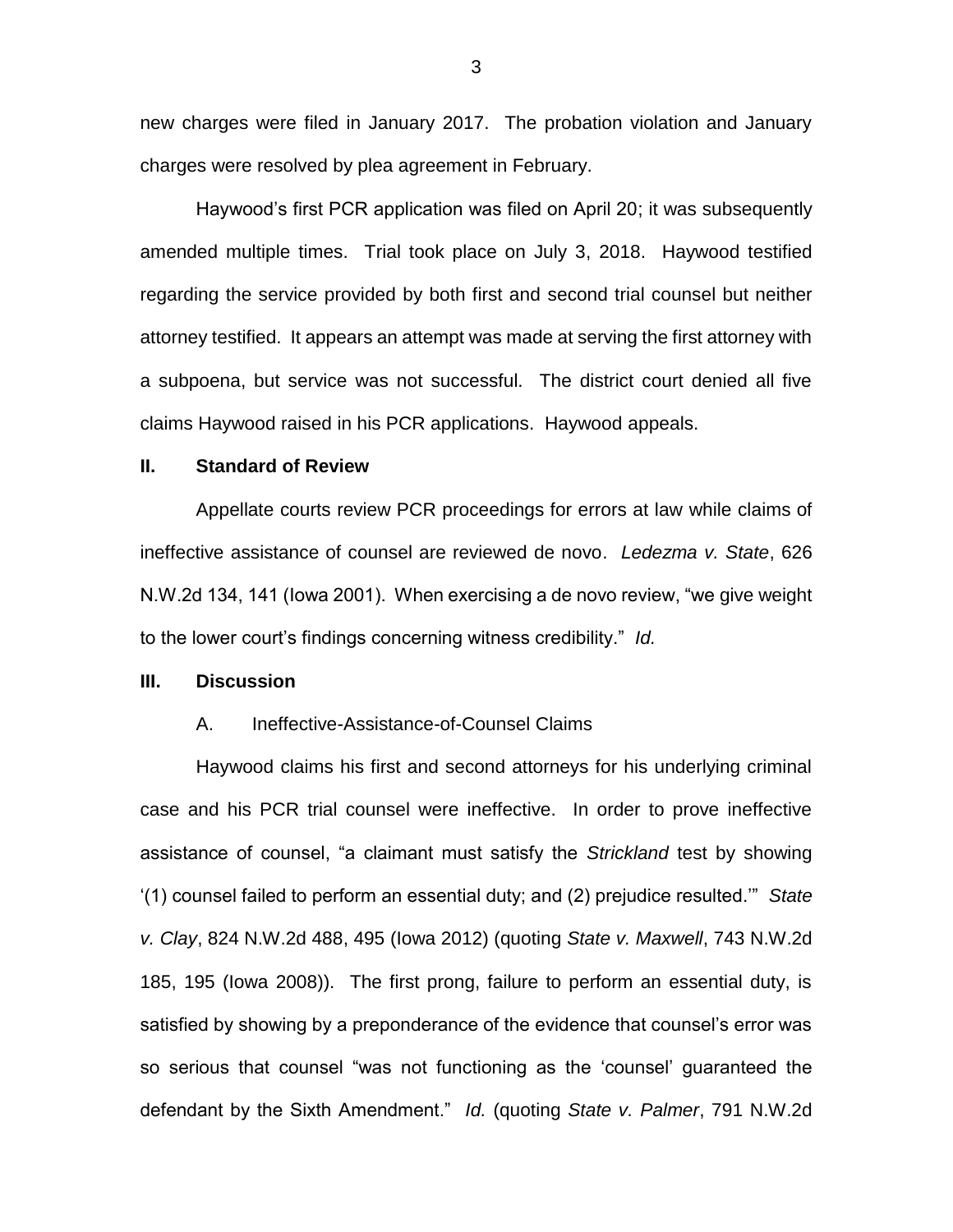new charges were filed in January 2017. The probation violation and January charges were resolved by plea agreement in February.

Haywood's first PCR application was filed on April 20; it was subsequently amended multiple times. Trial took place on July 3, 2018. Haywood testified regarding the service provided by both first and second trial counsel but neither attorney testified. It appears an attempt was made at serving the first attorney with a subpoena, but service was not successful. The district court denied all five claims Haywood raised in his PCR applications. Haywood appeals.

### **II. Standard of Review**

Appellate courts review PCR proceedings for errors at law while claims of ineffective assistance of counsel are reviewed de novo. *Ledezma v. State*, 626 N.W.2d 134, 141 (Iowa 2001). When exercising a de novo review, "we give weight to the lower court's findings concerning witness credibility." *Id.*

### **III. Discussion**

#### A. Ineffective-Assistance-of-Counsel Claims

Haywood claims his first and second attorneys for his underlying criminal case and his PCR trial counsel were ineffective. In order to prove ineffective assistance of counsel, "a claimant must satisfy the *Strickland* test by showing '(1) counsel failed to perform an essential duty; and (2) prejudice resulted.'" *State v. Clay*, 824 N.W.2d 488, 495 (Iowa 2012) (quoting *State v. Maxwell*, 743 N.W.2d 185, 195 (Iowa 2008)). The first prong, failure to perform an essential duty, is satisfied by showing by a preponderance of the evidence that counsel's error was so serious that counsel "was not functioning as the 'counsel' guaranteed the defendant by the Sixth Amendment." *Id.* (quoting *State v. Palmer*, 791 N.W.2d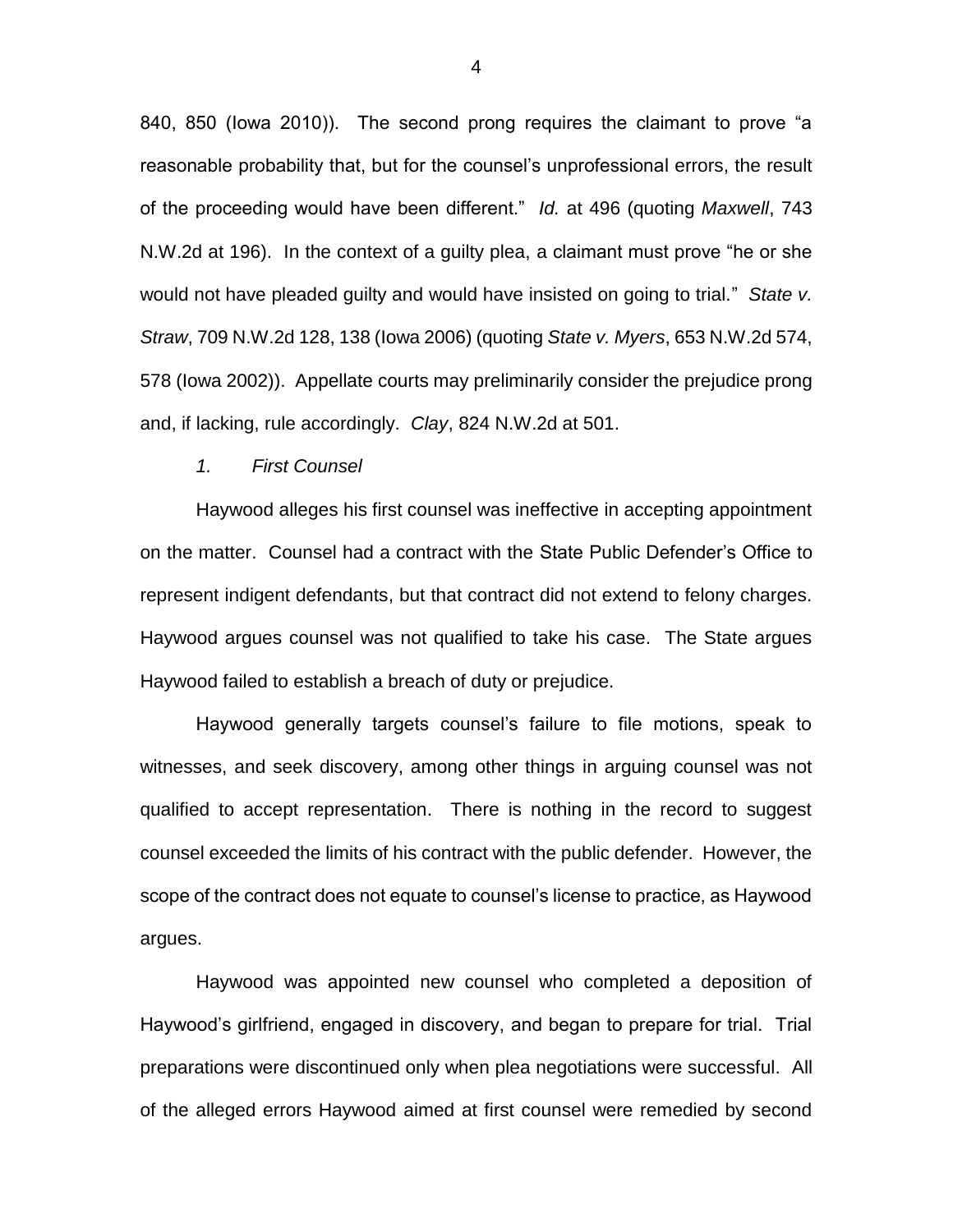840, 850 (Iowa 2010)). The second prong requires the claimant to prove "a reasonable probability that, but for the counsel's unprofessional errors, the result of the proceeding would have been different." *Id.* at 496 (quoting *Maxwell*, 743 N.W.2d at 196). In the context of a guilty plea, a claimant must prove "he or she would not have pleaded guilty and would have insisted on going to trial." *State v. Straw*, 709 N.W.2d 128, 138 (Iowa 2006) (quoting *State v. Myers*, 653 N.W.2d 574, 578 (Iowa 2002)). Appellate courts may preliminarily consider the prejudice prong and, if lacking, rule accordingly. *Clay*, 824 N.W.2d at 501.

#### *1. First Counsel*

Haywood alleges his first counsel was ineffective in accepting appointment on the matter. Counsel had a contract with the State Public Defender's Office to represent indigent defendants, but that contract did not extend to felony charges. Haywood argues counsel was not qualified to take his case. The State argues Haywood failed to establish a breach of duty or prejudice.

Haywood generally targets counsel's failure to file motions, speak to witnesses, and seek discovery, among other things in arguing counsel was not qualified to accept representation. There is nothing in the record to suggest counsel exceeded the limits of his contract with the public defender. However, the scope of the contract does not equate to counsel's license to practice, as Haywood argues.

Haywood was appointed new counsel who completed a deposition of Haywood's girlfriend, engaged in discovery, and began to prepare for trial. Trial preparations were discontinued only when plea negotiations were successful. All of the alleged errors Haywood aimed at first counsel were remedied by second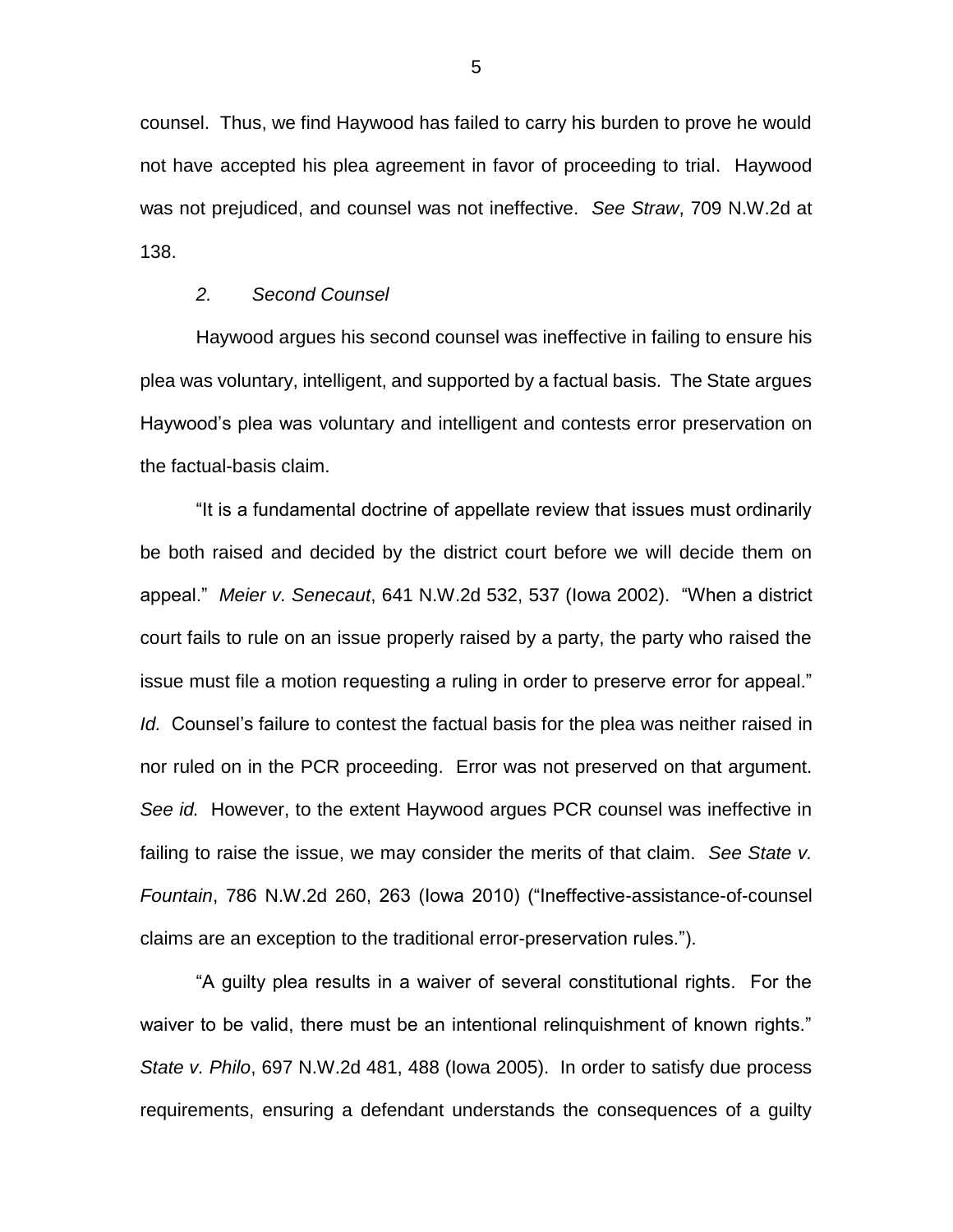counsel. Thus, we find Haywood has failed to carry his burden to prove he would not have accepted his plea agreement in favor of proceeding to trial. Haywood was not prejudiced, and counsel was not ineffective. *See Straw*, 709 N.W.2d at 138.

# *2. Second Counsel*

Haywood argues his second counsel was ineffective in failing to ensure his plea was voluntary, intelligent, and supported by a factual basis. The State argues Haywood's plea was voluntary and intelligent and contests error preservation on the factual-basis claim.

"It is a fundamental doctrine of appellate review that issues must ordinarily be both raised and decided by the district court before we will decide them on appeal." *Meier v. Senecaut*, 641 N.W.2d 532, 537 (Iowa 2002). "When a district court fails to rule on an issue properly raised by a party, the party who raised the issue must file a motion requesting a ruling in order to preserve error for appeal." *Id.* Counsel's failure to contest the factual basis for the plea was neither raised in nor ruled on in the PCR proceeding. Error was not preserved on that argument. *See id.* However, to the extent Haywood argues PCR counsel was ineffective in failing to raise the issue, we may consider the merits of that claim. *See State v. Fountain*, 786 N.W.2d 260, 263 (Iowa 2010) ("Ineffective-assistance-of-counsel claims are an exception to the traditional error-preservation rules.").

"A guilty plea results in a waiver of several constitutional rights. For the waiver to be valid, there must be an intentional relinquishment of known rights." *State v. Philo*, 697 N.W.2d 481, 488 (Iowa 2005). In order to satisfy due process requirements, ensuring a defendant understands the consequences of a guilty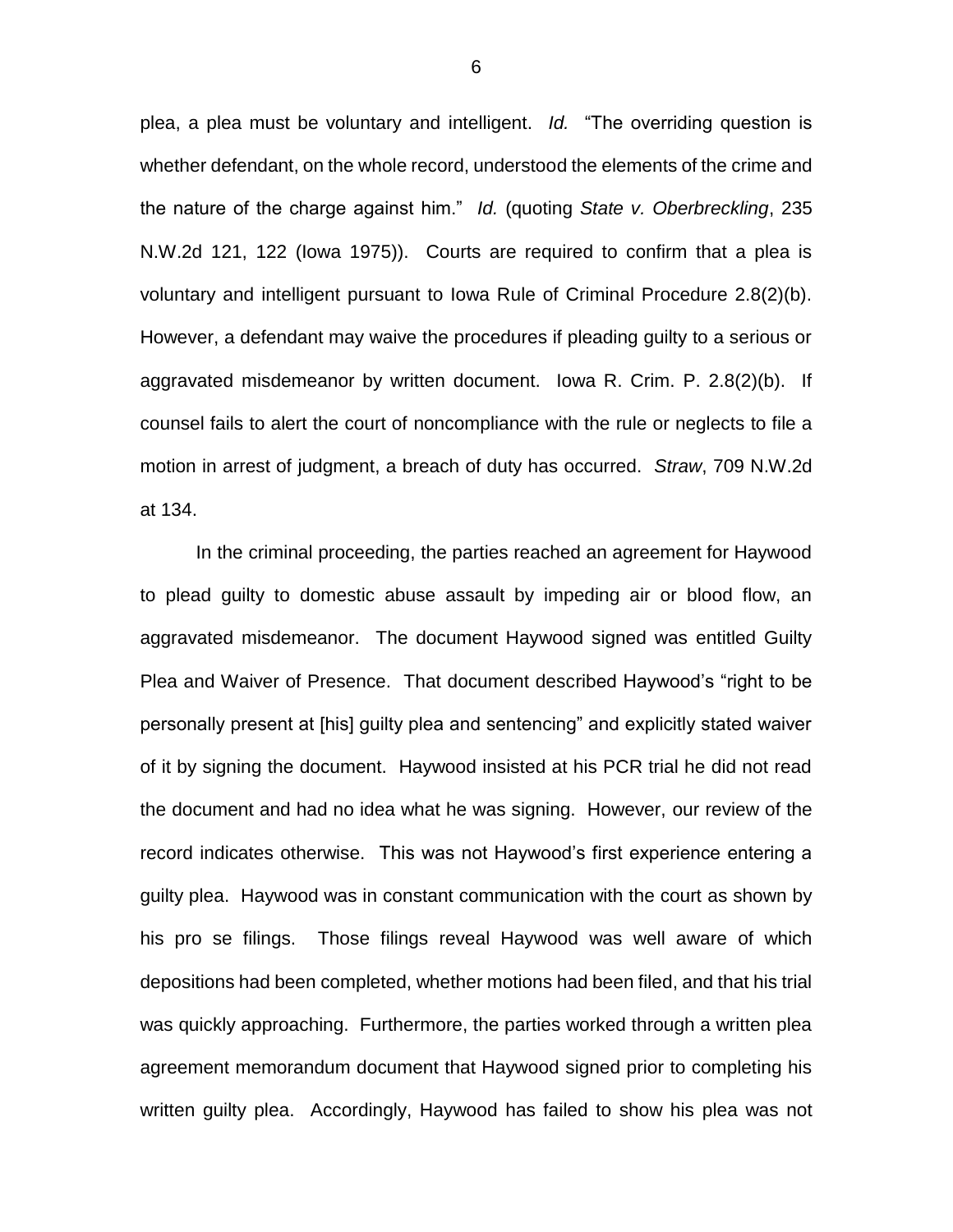plea, a plea must be voluntary and intelligent. *Id.* "The overriding question is whether defendant, on the whole record, understood the elements of the crime and the nature of the charge against him." *Id.* (quoting *State v. Oberbreckling*, 235 N.W.2d 121, 122 (Iowa 1975)). Courts are required to confirm that a plea is voluntary and intelligent pursuant to Iowa Rule of Criminal Procedure 2.8(2)(b). However, a defendant may waive the procedures if pleading guilty to a serious or aggravated misdemeanor by written document. Iowa R. Crim. P. 2.8(2)(b). If counsel fails to alert the court of noncompliance with the rule or neglects to file a motion in arrest of judgment, a breach of duty has occurred. *Straw*, 709 N.W.2d at 134.

In the criminal proceeding, the parties reached an agreement for Haywood to plead guilty to domestic abuse assault by impeding air or blood flow, an aggravated misdemeanor. The document Haywood signed was entitled Guilty Plea and Waiver of Presence. That document described Haywood's "right to be personally present at [his] guilty plea and sentencing" and explicitly stated waiver of it by signing the document. Haywood insisted at his PCR trial he did not read the document and had no idea what he was signing. However, our review of the record indicates otherwise. This was not Haywood's first experience entering a guilty plea. Haywood was in constant communication with the court as shown by his pro se filings. Those filings reveal Haywood was well aware of which depositions had been completed, whether motions had been filed, and that his trial was quickly approaching. Furthermore, the parties worked through a written plea agreement memorandum document that Haywood signed prior to completing his written guilty plea. Accordingly, Haywood has failed to show his plea was not

6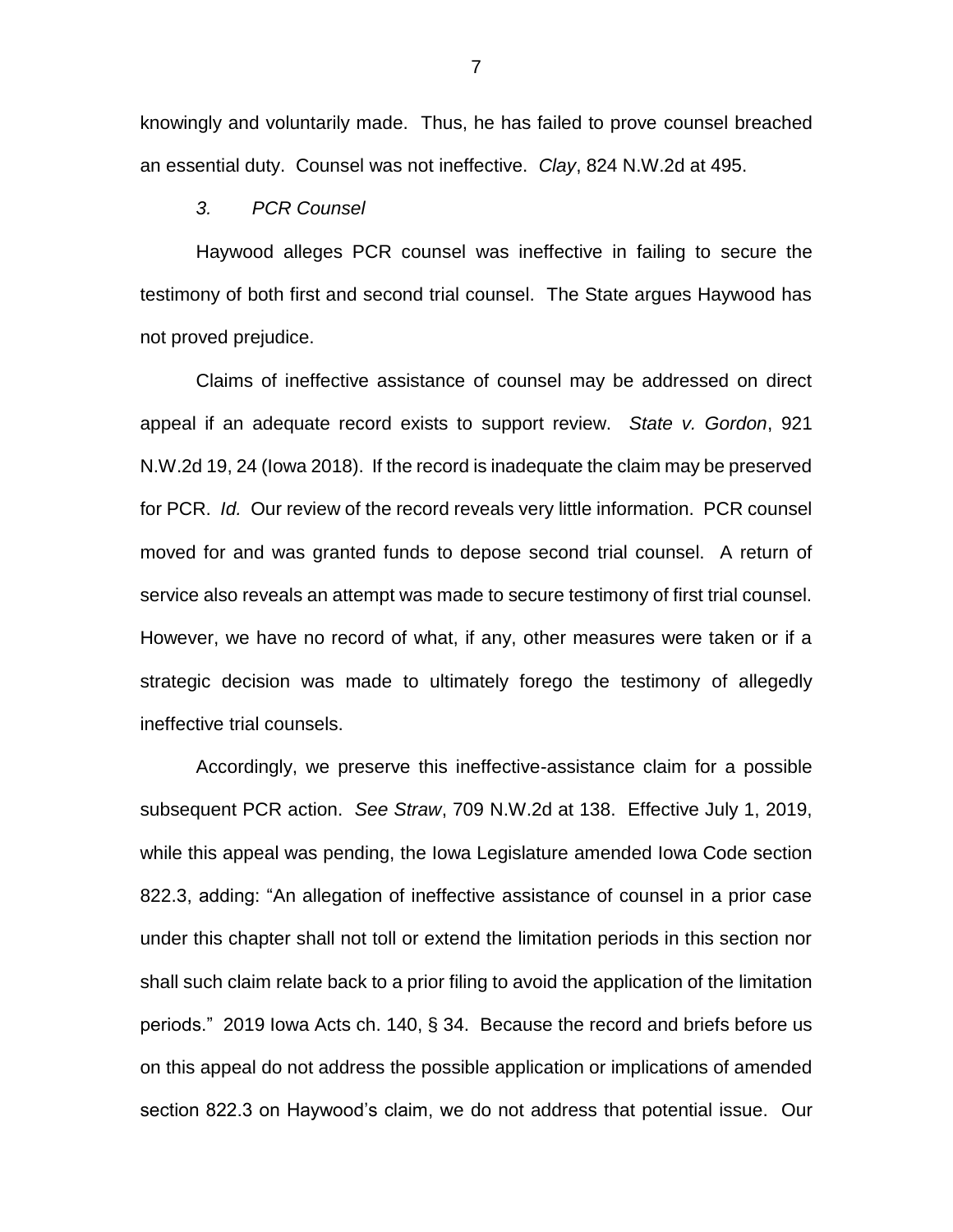knowingly and voluntarily made. Thus, he has failed to prove counsel breached an essential duty. Counsel was not ineffective. *Clay*, 824 N.W.2d at 495.

### *3. PCR Counsel*

Haywood alleges PCR counsel was ineffective in failing to secure the testimony of both first and second trial counsel. The State argues Haywood has not proved prejudice.

Claims of ineffective assistance of counsel may be addressed on direct appeal if an adequate record exists to support review. *State v. Gordon*, 921 N.W.2d 19, 24 (Iowa 2018). If the record is inadequate the claim may be preserved for PCR. *Id.* Our review of the record reveals very little information. PCR counsel moved for and was granted funds to depose second trial counsel. A return of service also reveals an attempt was made to secure testimony of first trial counsel. However, we have no record of what, if any, other measures were taken or if a strategic decision was made to ultimately forego the testimony of allegedly ineffective trial counsels.

Accordingly, we preserve this ineffective-assistance claim for a possible subsequent PCR action. *See Straw*, 709 N.W.2d at 138. Effective July 1, 2019, while this appeal was pending, the Iowa Legislature amended Iowa Code section 822.3, adding: "An allegation of ineffective assistance of counsel in a prior case under this chapter shall not toll or extend the limitation periods in this section nor shall such claim relate back to a prior filing to avoid the application of the limitation periods." 2019 Iowa Acts ch. 140, § 34. Because the record and briefs before us on this appeal do not address the possible application or implications of amended section 822.3 on Haywood's claim, we do not address that potential issue. Our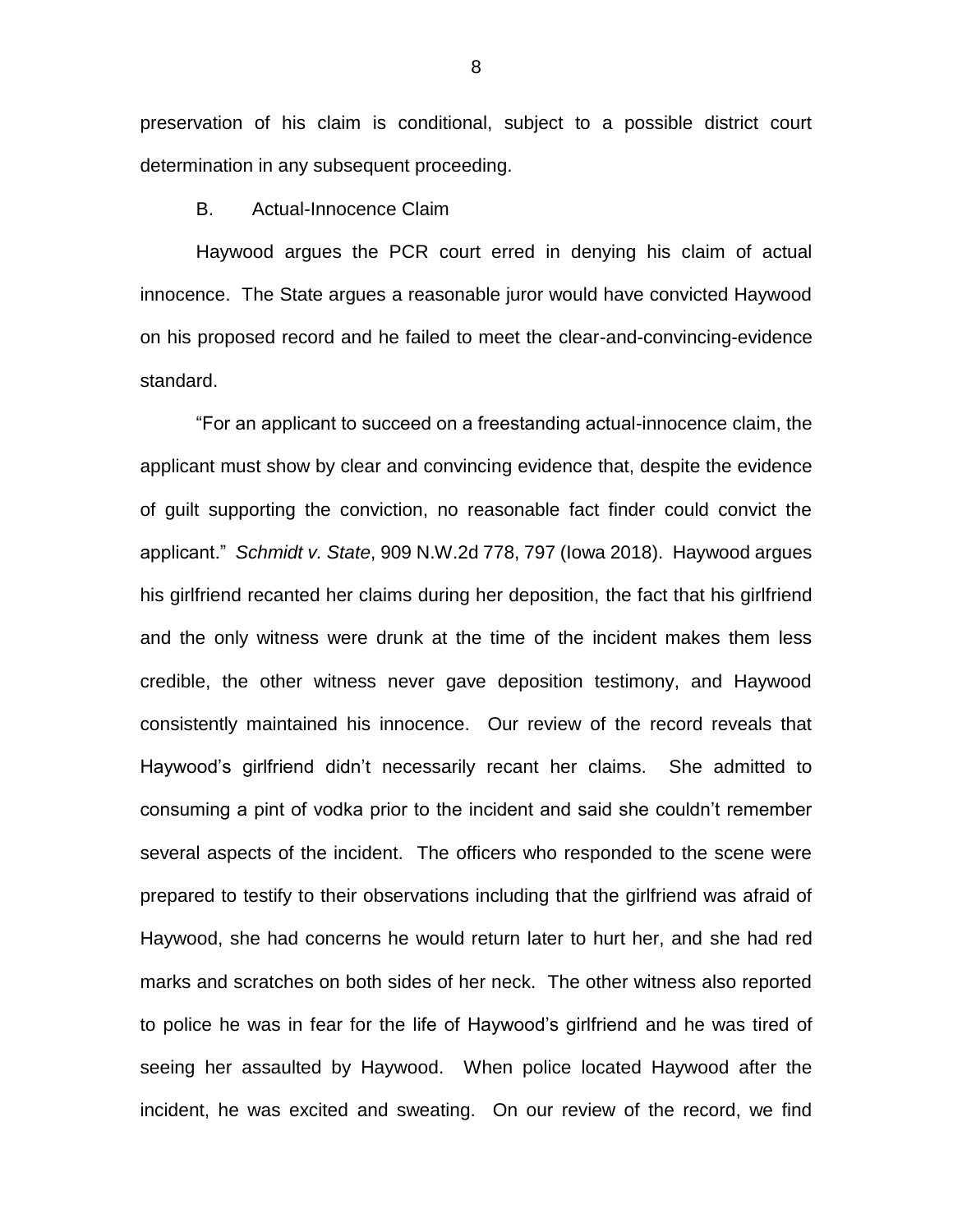preservation of his claim is conditional, subject to a possible district court determination in any subsequent proceeding.

#### B. Actual-Innocence Claim

Haywood argues the PCR court erred in denying his claim of actual innocence. The State argues a reasonable juror would have convicted Haywood on his proposed record and he failed to meet the clear-and-convincing-evidence standard.

"For an applicant to succeed on a freestanding actual-innocence claim, the applicant must show by clear and convincing evidence that, despite the evidence of guilt supporting the conviction, no reasonable fact finder could convict the applicant." *Schmidt v. State*, 909 N.W.2d 778, 797 (Iowa 2018). Haywood argues his girlfriend recanted her claims during her deposition, the fact that his girlfriend and the only witness were drunk at the time of the incident makes them less credible, the other witness never gave deposition testimony, and Haywood consistently maintained his innocence. Our review of the record reveals that Haywood's girlfriend didn't necessarily recant her claims. She admitted to consuming a pint of vodka prior to the incident and said she couldn't remember several aspects of the incident. The officers who responded to the scene were prepared to testify to their observations including that the girlfriend was afraid of Haywood, she had concerns he would return later to hurt her, and she had red marks and scratches on both sides of her neck. The other witness also reported to police he was in fear for the life of Haywood's girlfriend and he was tired of seeing her assaulted by Haywood. When police located Haywood after the incident, he was excited and sweating. On our review of the record, we find